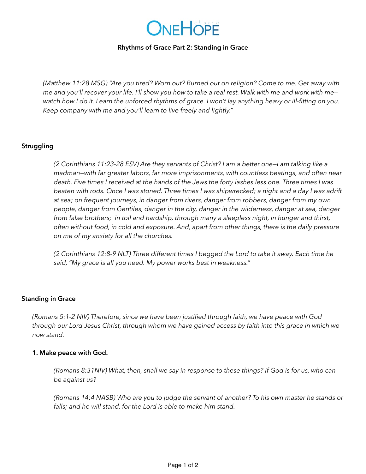

#### **Rhythms of Grace Part 2: Standing in Grace**

*(Matthew 11:28 MSG) "Are you tired? Worn out? Burned out on religion? Come to me. Get away with me and you'll recover your life. I'll show you how to take a real rest. Walk with me and work with me watch how I do it. Learn the unforced rhythms of grace. I won't lay anything heavy or ill-fitting on you. Keep company with me and you'll learn to live freely and lightly."*

### **Struggling**

*(2 Corinthians 11:23-28 ESV) Are they servants of Christ? I am a better one—I am talking like a madman—with far greater labors, far more imprisonments, with countless beatings, and often near death. Five times I received at the hands of the Jews the forty lashes less one. Three times I was beaten with rods. Once I was stoned. Three times I was shipwrecked; a night and a day I was adrift at sea; on frequent journeys, in danger from rivers, danger from robbers, danger from my own people, danger from Gentiles, danger in the city, danger in the wilderness, danger at sea, danger from false brothers; in toil and hardship, through many a sleepless night, in hunger and thirst, often without food, in cold and exposure. And, apart from other things, there is the daily pressure on me of my anxiety for all the churches.*

*(2 Corinthians 12:8-9 NLT) Three different times I begged the Lord to take it away. Each time he said, "My grace is all you need. My power works best in weakness."*

#### **Standing in Grace**

*(Romans 5:1-2 NIV) Therefore, since we have been justified through faith, we have peace with God through our Lord Jesus Christ, through whom we have gained access by faith into this grace in which we now stand.*

#### **1. Make peace with God.**

*(Romans 8:31NIV) What, then, shall we say in response to these things? If God is for us, who can be against us?* 

*(Romans 14:4 NASB) Who are you to judge the servant of another? To his own master he stands or falls; and he will stand, for the Lord is able to make him stand.*